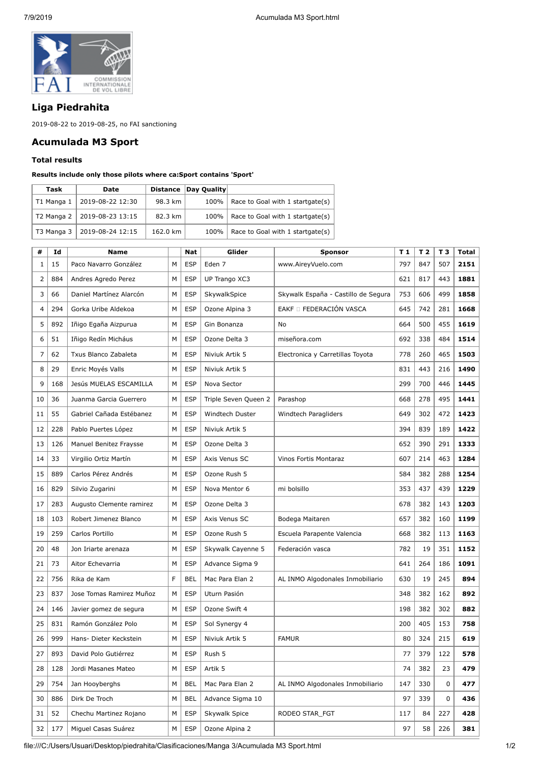

## **Liga Piedrahita**

2019-08-22 to 2019-08-25, no FAI sanctioning

## **Acumulada M3 Sport**

## **Total results**

## **Results include only those pilots where ca:Sport contains 'Sport'**

| Task       | Date             |          | Distance Day Quality |                                  |
|------------|------------------|----------|----------------------|----------------------------------|
| T1 Manga 1 | 2019-08-22 12:30 | 98.3 km  | 100%                 | Race to Goal with 1 startgate(s) |
| T2 Manga 2 | 2019-08-23 13:15 | 82.3 km  | 100%                 | Race to Goal with 1 startgate(s) |
| T3 Manga 3 | 2019-08-24 12:15 | 162.0 km | 100%                 | Race to Goal with 1 startgate(s) |

| #              | Id  | <b>Name</b>              |   | <b>Nat</b> | Glider               | <b>Sponsor</b>                      | T <sub>1</sub> | T <sub>2</sub> | T <sub>3</sub> | <b>Total</b> |
|----------------|-----|--------------------------|---|------------|----------------------|-------------------------------------|----------------|----------------|----------------|--------------|
| 1              | 15  | Paco Navarro González    | M | <b>ESP</b> | Eden 7               | www.AireyVuelo.com                  | 797            | 847            | 507            | 2151         |
| $\overline{2}$ | 884 | Andres Agredo Perez      | M | <b>ESP</b> | UP Trango XC3        |                                     | 621            | 817            | 443            | 1881         |
| 3              | 66  | Daniel Martínez Alarcón  | M | <b>ESP</b> | SkywalkSpice         | Skywalk España - Castillo de Segura | 753            | 606            | 499            | 1858         |
| $\overline{4}$ | 294 | Gorka Uribe Aldekoa      | M | <b>ESP</b> | Ozone Alpina 3       | EAKF O FEDERACIÓN VASCA             | 645            | 742            | 281            | 1668         |
| 5              | 892 | Iñigo Egaña Aizpurua     | M | <b>ESP</b> | Gin Bonanza          | No                                  | 664            | 500            | 455            | 1619         |
| 6              | 51  | Iñigo Redín Micháus      | M | <b>ESP</b> | Ozone Delta 3        | miseñora.com                        | 692            | 338            | 484            | 1514         |
| 7              | 62  | Txus Blanco Zabaleta     | M | <b>ESP</b> | Niviuk Artik 5       | Electronica y Carretillas Toyota    | 778            | 260            | 465            | 1503         |
| 8              | 29  | Enric Moyés Valls        | M | <b>ESP</b> | Niviuk Artik 5       |                                     | 831            | 443            | 216            | 1490         |
| 9              | 168 | Jesús MUELAS ESCAMILLA   | M | <b>ESP</b> | Nova Sector          |                                     | 299            | 700            | 446            | 1445         |
| 10             | 36  | Juanma Garcia Guerrero   | M | <b>ESP</b> | Triple Seven Queen 2 | Parashop                            | 668            | 278            | 495            | 1441         |
| 11             | 55  | Gabriel Cañada Estébanez | M | <b>ESP</b> | Windtech Duster      | Windtech Paragliders                | 649            | 302            | 472            | 1423         |
| 12             | 228 | Pablo Puertes López      | M | <b>ESP</b> | Niviuk Artik 5       |                                     | 394            | 839            | 189            | 1422         |
| 13             | 126 | Manuel Benitez Fraysse   | M | <b>ESP</b> | Ozone Delta 3        |                                     | 652            | 390            | 291            | 1333         |
| 14             | 33  | Virgilio Ortiz Martín    | M | <b>ESP</b> | Axis Venus SC        | Vinos Fortis Montaraz               | 607            | 214            | 463            | 1284         |
| 15             | 889 | Carlos Pérez Andrés      | M | <b>ESP</b> | Ozone Rush 5         |                                     | 584            | 382            | 288            | 1254         |
| 16             | 829 | Silvio Zugarini          | M | <b>ESP</b> | Nova Mentor 6        | mi bolsillo                         | 353            | 437            | 439            | 1229         |
| 17             | 283 | Augusto Clemente ramirez | M | <b>ESP</b> | Ozone Delta 3        |                                     | 678            | 382            | 143            | 1203         |
| 18             | 103 | Robert Jimenez Blanco    | M | <b>ESP</b> | Axis Venus SC        | Bodega Maitaren                     | 657            | 382            | 160            | 1199         |
| 19             | 259 | Carlos Portillo          | M | <b>ESP</b> | Ozone Rush 5         | Escuela Parapente Valencia          | 668            | 382            | 113            | 1163         |
| 20             | 48  | Jon Iriarte arenaza      | M | <b>ESP</b> | Skywalk Cayenne 5    | Federación vasca                    | 782            | 19             | 351            | 1152         |
| 21             | 73  | Aitor Echevarria         | M | <b>ESP</b> | Advance Sigma 9      |                                     | 641            | 264            | 186            | 1091         |
| 22             | 756 | Rika de Kam              | F | <b>BEL</b> | Mac Para Elan 2      | AL INMO Algodonales Inmobiliario    | 630            | 19             | 245            | 894          |
| 23             | 837 | Jose Tomas Ramirez Muñoz | М | <b>ESP</b> | Uturn Pasión         |                                     | 348            | 382            | 162            | 892          |
| 24             | 146 | Javier gomez de segura   | M | <b>ESP</b> | Ozone Swift 4        |                                     | 198            | 382            | 302            | 882          |
| 25             | 831 | Ramón González Polo      | M | <b>ESP</b> | Sol Synergy 4        |                                     | 200            | 405            | 153            | 758          |
| 26             | 999 | Hans- Dieter Keckstein   | M | <b>ESP</b> | Niviuk Artik 5       | <b>FAMUR</b>                        | 80             | 324            | 215            | 619          |
| 27             | 893 | David Polo Gutiérrez     | М | <b>ESP</b> | Rush 5               |                                     | 77             | 379            | 122            | 578          |
| 28             | 128 | Jordi Masanes Mateo      | M | <b>ESP</b> | Artik 5              |                                     | 74             | 382            | 23             | 479          |
| 29             | 754 | Jan Hooyberghs           | М | BEL        | Mac Para Elan 2      | AL INMO Algodonales Inmobiliario    | 147            | 330            | 0              | 477          |
| 30             | 886 | Dirk De Troch            | М | BEL        | Advance Sigma 10     |                                     | 97             | 339            | 0              | 436          |
| 31             | 52  | Chechu Martinez Rojano   | М | <b>ESP</b> | <b>Skywalk Spice</b> | RODEO STAR_FGT                      | 117            | 84             | 227            | 428          |
| 32             | 177 | Miguel Casas Suárez      | М | <b>ESP</b> | Ozone Alpina 2       |                                     | 97             | 58             | 226            | 381          |